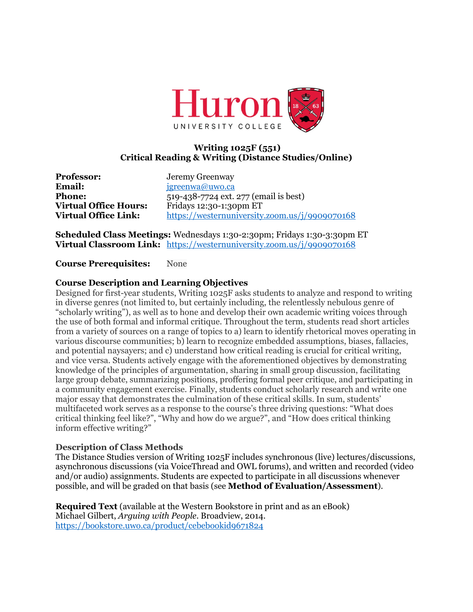

# **Writing 1025F (551) Critical Reading & Writing (Distance Studies/Online)**

**Professor:** Jeremy Greenway<br> **Email:** *igreenwa@uwo.ca* 

**Email:** jgreenwa@uwo.ca **Phone:** 519-438-7724 ext. 277 (email is best) **Virtual Office Hours:** Fridays 12:30-1:30pm ET **Virtual Office Link:** https://westernuniversity.zoom.us/j/9909070168

**Scheduled Class Meetings:** Wednesdays 1:30-2:30pm; Fridays 1:30-3:30pm ET **Virtual Classroom Link:** https://westernuniversity.zoom.us/j/9909070168

**Course Prerequisites:** None

# **Course Description and Learning Objectives**

Designed for first-year students, Writing 1025F asks students to analyze and respond to writing in diverse genres (not limited to, but certainly including, the relentlessly nebulous genre of "scholarly writing"), as well as to hone and develop their own academic writing voices through the use of both formal and informal critique. Throughout the term, students read short articles from a variety of sources on a range of topics to a) learn to identify rhetorical moves operating in various discourse communities; b) learn to recognize embedded assumptions, biases, fallacies, and potential naysayers; and c) understand how critical reading is crucial for critical writing, and vice versa. Students actively engage with the aforementioned objectives by demonstrating knowledge of the principles of argumentation, sharing in small group discussion, facilitating large group debate, summarizing positions, proffering formal peer critique, and participating in a community engagement exercise. Finally, students conduct scholarly research and write one major essay that demonstrates the culmination of these critical skills. In sum, students' multifaceted work serves as a response to the course's three driving questions: "What does critical thinking feel like?", "Why and how do we argue?", and "How does critical thinking inform effective writing?"

### **Description of Class Methods**

The Distance Studies version of Writing 1025F includes synchronous (live) lectures/discussions, asynchronous discussions (via VoiceThread and OWL forums), and written and recorded (video and/or audio) assignments. Students are expected to participate in all discussions whenever possible, and will be graded on that basis (see **Method of Evaluation/Assessment**).

**Required Text** (available at the Western Bookstore in print and as an eBook) Michael Gilbert, *Arguing with People*. Broadview, 2014. https://bookstore.uwo.ca/product/cebebookid9671824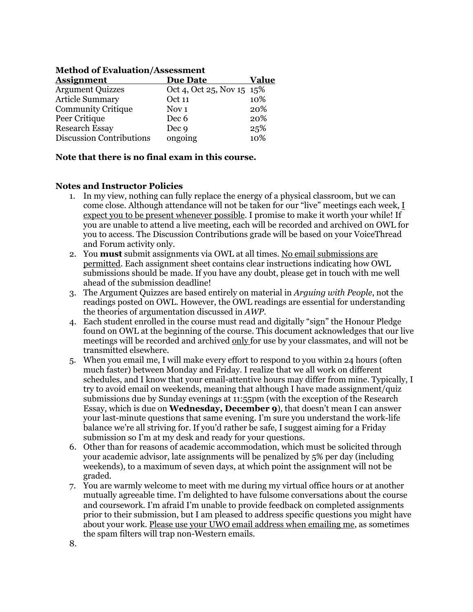| <b>Assignment</b>         | <b>Due Date</b>           | Value |
|---------------------------|---------------------------|-------|
| <b>Argument Quizzes</b>   | Oct 4, Oct 25, Nov 15 15% |       |
| <b>Article Summary</b>    | Oct 11                    | 10%   |
| <b>Community Critique</b> | Nov <sub>1</sub>          | 20%   |
| Peer Critique             | Dec <sub>6</sub>          | 20%   |
| <b>Research Essay</b>     | Dec <sub>9</sub>          | 25%   |
| Discussion Contributions  | ongoing                   | 10%   |

### **Method of Evaluation/Assessment**

#### **Note that there is no final exam in this course.**

#### **Notes and Instructor Policies**

- 1. In my view, nothing can fully replace the energy of a physical classroom, but we can come close. Although attendance will not be taken for our "live" meetings each week, I expect you to be present whenever possible. I promise to make it worth your while! If you are unable to attend a live meeting, each will be recorded and archived on OWL for you to access. The Discussion Contributions grade will be based on your VoiceThread and Forum activity only.
- 2. You **must** submit assignments via OWL at all times. No email submissions are permitted. Each assignment sheet contains clear instructions indicating how OWL submissions should be made. If you have any doubt, please get in touch with me well ahead of the submission deadline!
- 3. The Argument Quizzes are based entirely on material in *Arguing with People*, not the readings posted on OWL. However, the OWL readings are essential for understanding the theories of argumentation discussed in *AWP*.
- 4. Each student enrolled in the course must read and digitally "sign" the Honour Pledge found on OWL at the beginning of the course. This document acknowledges that our live meetings will be recorded and archived only for use by your classmates, and will not be transmitted elsewhere.
- 5. When you email me, I will make every effort to respond to you within 24 hours (often much faster) between Monday and Friday. I realize that we all work on different schedules, and I know that your email-attentive hours may differ from mine. Typically, I try to avoid email on weekends, meaning that although I have made assignment/quiz submissions due by Sunday evenings at 11:55pm (with the exception of the Research Essay, which is due on **Wednesday, December 9**), that doesn't mean I can answer your last-minute questions that same evening. I'm sure you understand the work-life balance we're all striving for. If you'd rather be safe, I suggest aiming for a Friday submission so I'm at my desk and ready for your questions.
- 6. Other than for reasons of academic accommodation, which must be solicited through your academic advisor, late assignments will be penalized by 5% per day (including weekends), to a maximum of seven days, at which point the assignment will not be graded.
- 7. You are warmly welcome to meet with me during my virtual office hours or at another mutually agreeable time. I'm delighted to have fulsome conversations about the course and coursework. I'm afraid I'm unable to provide feedback on completed assignments prior to their submission, but I am pleased to address specific questions you might have about your work. Please use your UWO email address when emailing me, as sometimes the spam filters will trap non-Western emails.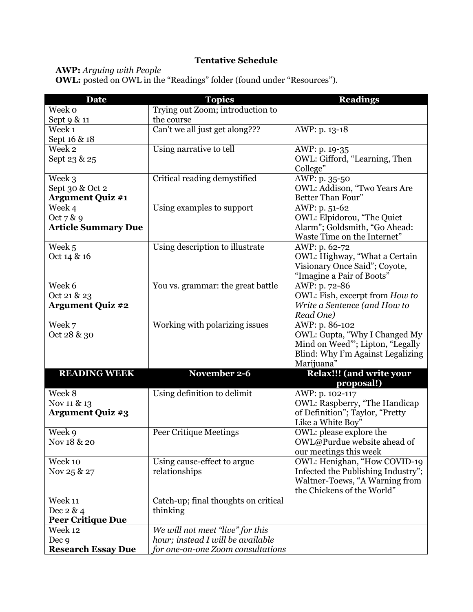# **Tentative Schedule**

**AWP:** *Arguing with People* 

**OWL:** posted on OWL in the "Readings" folder (found under "Resources").

| <b>Date</b>                | <b>Topics</b>                                | <b>Readings</b>                                        |
|----------------------------|----------------------------------------------|--------------------------------------------------------|
| Week o                     | Trying out Zoom; introduction to             |                                                        |
| Sept 9 & 11                | the course                                   |                                                        |
| Week 1                     | Can't we all just get along???               | AWP: p. 13-18                                          |
| Sept 16 & 18               |                                              |                                                        |
| Week 2                     | Using narrative to tell                      | AWP: p. 19-35                                          |
| Sept 23 & 25               |                                              | OWL: Gifford, "Learning, Then                          |
|                            |                                              | College"                                               |
| Week 3                     | Critical reading demystified                 | AWP: p. 35-50                                          |
| Sept 30 & Oct 2            |                                              | OWL: Addison, "Two Years Are                           |
| <b>Argument Quiz #1</b>    |                                              | Better Than Four"                                      |
| Week 4                     | Using examples to support                    | AWP: p. 51-62                                          |
| Oct 7 & 9                  |                                              | OWL: Elpidorou, "The Quiet                             |
| <b>Article Summary Due</b> |                                              | Alarm"; Goldsmith, "Go Ahead:                          |
|                            |                                              | Waste Time on the Internet"                            |
| Week 5                     | Using description to illustrate              | AWP: p. 62-72                                          |
| Oct 14 & 16                |                                              | OWL: Highway, "What a Certain                          |
|                            |                                              | Visionary Once Said"; Coyote,                          |
|                            |                                              | "Imagine a Pair of Boots"                              |
| Week 6                     | You vs. grammar: the great battle            | AWP: p. 72-86                                          |
| Oct 21 & 23                |                                              | OWL: Fish, excerpt from How to                         |
| <b>Argument Quiz #2</b>    |                                              | Write a Sentence (and How to                           |
|                            |                                              | Read One)                                              |
| Week 7                     | Working with polarizing issues               | AWP: p. 86-102                                         |
| Oct 28 & 30                |                                              | OWL: Gupta, "Why I Changed My                          |
|                            |                                              | Mind on Weed"; Lipton, "Legally                        |
|                            |                                              | Blind: Why I'm Against Legalizing                      |
|                            |                                              | Marijuana"                                             |
| <b>READING WEEK</b>        | November 2-6                                 | <b>Relax!!! (and write your</b>                        |
|                            |                                              | proposal!)                                             |
| Week 8                     | Using definition to delimit                  | AWP: p. 102-117                                        |
| Nov 11 & 13                |                                              | OWL: Raspberry, "The Handicap                          |
| <b>Argument Quiz #3</b>    |                                              | of Definition"; Taylor, "Pretty                        |
|                            |                                              | Like a White Boy"                                      |
| Week 9                     | <b>Peer Critique Meetings</b>                | OWL: please explore the                                |
| Nov 18 & 20                |                                              | OWL@Purdue website ahead of                            |
| Week 10                    |                                              | our meetings this week<br>OWL: Henighan, "How COVID-19 |
| Nov 25 & 27                | Using cause-effect to argue<br>relationships | Infected the Publishing Industry";                     |
|                            |                                              | Waltner-Toews, "A Warning from                         |
|                            |                                              | the Chickens of the World"                             |
| Week 11                    | Catch-up; final thoughts on critical         |                                                        |
| Dec 2 & 4                  | thinking                                     |                                                        |
| <b>Peer Critique Due</b>   |                                              |                                                        |
| Week 12                    | We will not meet "live" for this             |                                                        |
| Dec <sub>9</sub>           | hour; instead I will be available            |                                                        |
| <b>Research Essay Due</b>  | for one-on-one Zoom consultations            |                                                        |
|                            |                                              |                                                        |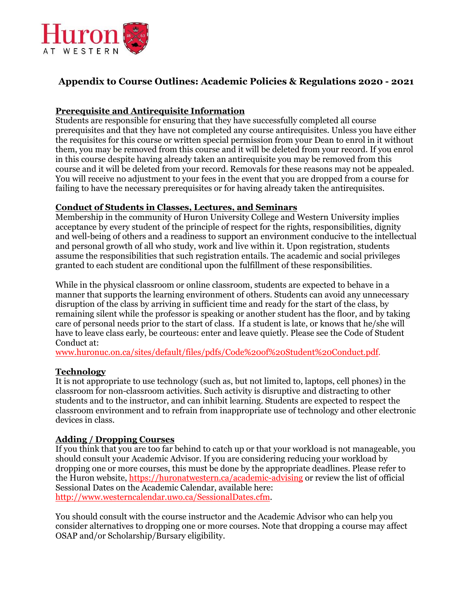

# **Appendix to Course Outlines: Academic Policies & Regulations 2020 - 2021**

# **Prerequisite and Antirequisite Information**

Students are responsible for ensuring that they have successfully completed all course prerequisites and that they have not completed any course antirequisites. Unless you have either the requisites for this course or written special permission from your Dean to enrol in it without them, you may be removed from this course and it will be deleted from your record. If you enrol in this course despite having already taken an antirequisite you may be removed from this course and it will be deleted from your record. Removals for these reasons may not be appealed. You will receive no adjustment to your fees in the event that you are dropped from a course for failing to have the necessary prerequisites or for having already taken the antirequisites.

### **Conduct of Students in Classes, Lectures, and Seminars**

Membership in the community of Huron University College and Western University implies acceptance by every student of the principle of respect for the rights, responsibilities, dignity and well-being of others and a readiness to support an environment conducive to the intellectual and personal growth of all who study, work and live within it. Upon registration, students assume the responsibilities that such registration entails. The academic and social privileges granted to each student are conditional upon the fulfillment of these responsibilities.

While in the physical classroom or online classroom, students are expected to behave in a manner that supports the learning environment of others. Students can avoid any unnecessary disruption of the class by arriving in sufficient time and ready for the start of the class, by remaining silent while the professor is speaking or another student has the floor, and by taking care of personal needs prior to the start of class. If a student is late, or knows that he/she will have to leave class early, be courteous: enter and leave quietly. Please see the Code of Student Conduct at:

www.huronuc.on.ca/sites/default/files/pdfs/Code%20of%20Student%20Conduct.pdf.

### **Technology**

It is not appropriate to use technology (such as, but not limited to, laptops, cell phones) in the classroom for non-classroom activities. Such activity is disruptive and distracting to other students and to the instructor, and can inhibit learning. Students are expected to respect the classroom environment and to refrain from inappropriate use of technology and other electronic devices in class.

### **Adding / Dropping Courses**

If you think that you are too far behind to catch up or that your workload is not manageable, you should consult your Academic Advisor. If you are considering reducing your workload by dropping one or more courses, this must be done by the appropriate deadlines. Please refer to the Huron website, https://huronatwestern.ca/academic-advising or review the list of official Sessional Dates on the Academic Calendar, available here: http://www.westerncalendar.uwo.ca/SessionalDates.cfm.

You should consult with the course instructor and the Academic Advisor who can help you consider alternatives to dropping one or more courses. Note that dropping a course may affect OSAP and/or Scholarship/Bursary eligibility.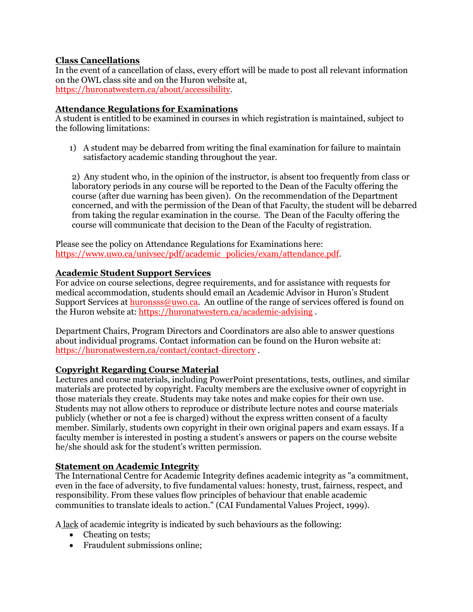# **Class Cancellations**

In the event of a cancellation of class, every effort will be made to post all relevant information on the OWL class site and on the Huron website at, https://huronatwestern.ca/about/accessibility.

### **Attendance Regulations for Examinations**

A student is entitled to be examined in courses in which registration is maintained, subject to the following limitations:

1) A student may be debarred from writing the final examination for failure to maintain satisfactory academic standing throughout the year.

2) Any student who, in the opinion of the instructor, is absent too frequently from class or laboratory periods in any course will be reported to the Dean of the Faculty offering the course (after due warning has been given). On the recommendation of the Department concerned, and with the permission of the Dean of that Faculty, the student will be debarred from taking the regular examination in the course. The Dean of the Faculty offering the course will communicate that decision to the Dean of the Faculty of registration.

Please see the policy on Attendance Regulations for Examinations here: https://www.uwo.ca/univsec/pdf/academic\_policies/exam/attendance.pdf.

# **Academic Student Support Services**

For advice on course selections, degree requirements, and for assistance with requests for medical accommodation, students should email an Academic Advisor in Huron's Student Support Services at **huronsss**@uwo.ca. An outline of the range of services offered is found on the Huron website at: https://huronatwestern.ca/academic-advising .

Department Chairs, Program Directors and Coordinators are also able to answer questions about individual programs. Contact information can be found on the Huron website at: https://huronatwestern.ca/contact/contact-directory .

### **Copyright Regarding Course Material**

Lectures and course materials, including PowerPoint presentations, tests, outlines, and similar materials are protected by copyright. Faculty members are the exclusive owner of copyright in those materials they create. Students may take notes and make copies for their own use. Students may not allow others to reproduce or distribute lecture notes and course materials publicly (whether or not a fee is charged) without the express written consent of a faculty member. Similarly, students own copyright in their own original papers and exam essays. If a faculty member is interested in posting a student's answers or papers on the course website he/she should ask for the student's written permission.

### **Statement on Academic Integrity**

The International Centre for Academic Integrity defines academic integrity as "a commitment, even in the face of adversity, to five fundamental values: honesty, trust, fairness, respect, and responsibility. From these values flow principles of behaviour that enable academic communities to translate ideals to action." (CAI Fundamental Values Project, 1999).

A lack of academic integrity is indicated by such behaviours as the following:

- Cheating on tests;
- Fraudulent submissions online;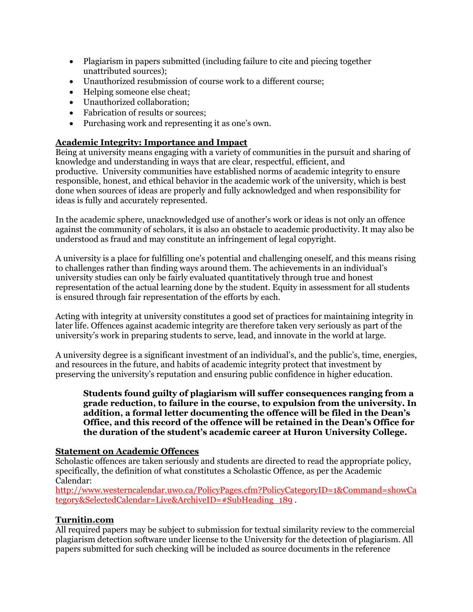- Plagiarism in papers submitted (including failure to cite and piecing together unattributed sources);
- Unauthorized resubmission of course work to a different course;
- Helping someone else cheat;
- Unauthorized collaboration;
- Fabrication of results or sources;
- Purchasing work and representing it as one's own.

# **Academic Integrity: Importance and Impact**

Being at university means engaging with a variety of communities in the pursuit and sharing of knowledge and understanding in ways that are clear, respectful, efficient, and productive. University communities have established norms of academic integrity to ensure responsible, honest, and ethical behavior in the academic work of the university, which is best done when sources of ideas are properly and fully acknowledged and when responsibility for ideas is fully and accurately represented.

In the academic sphere, unacknowledged use of another's work or ideas is not only an offence against the community of scholars, it is also an obstacle to academic productivity. It may also be understood as fraud and may constitute an infringement of legal copyright.

A university is a place for fulfilling one's potential and challenging oneself, and this means rising to challenges rather than finding ways around them. The achievements in an individual's university studies can only be fairly evaluated quantitatively through true and honest representation of the actual learning done by the student. Equity in assessment for all students is ensured through fair representation of the efforts by each.

Acting with integrity at university constitutes a good set of practices for maintaining integrity in later life. Offences against academic integrity are therefore taken very seriously as part of the university's work in preparing students to serve, lead, and innovate in the world at large.

A university degree is a significant investment of an individual's, and the public's, time, energies, and resources in the future, and habits of academic integrity protect that investment by preserving the university's reputation and ensuring public confidence in higher education.

#### **Students found guilty of plagiarism will suffer consequences ranging from a grade reduction, to failure in the course, to expulsion from the university. In addition, a formal letter documenting the offence will be filed in the Dean's Office, and this record of the offence will be retained in the Dean's Office for the duration of the student's academic career at Huron University College.**

### **Statement on Academic Offences**

Scholastic offences are taken seriously and students are directed to read the appropriate policy, specifically, the definition of what constitutes a Scholastic Offence, as per the Academic Calendar:

http://www.westerncalendar.uwo.ca/PolicyPages.cfm?PolicyCategoryID=1&Command=showCa tegory&SelectedCalendar=Live&ArchiveID=#SubHeading\_189 .

### **Turnitin.com**

All required papers may be subject to submission for textual similarity review to the commercial plagiarism detection software under license to the University for the detection of plagiarism. All papers submitted for such checking will be included as source documents in the reference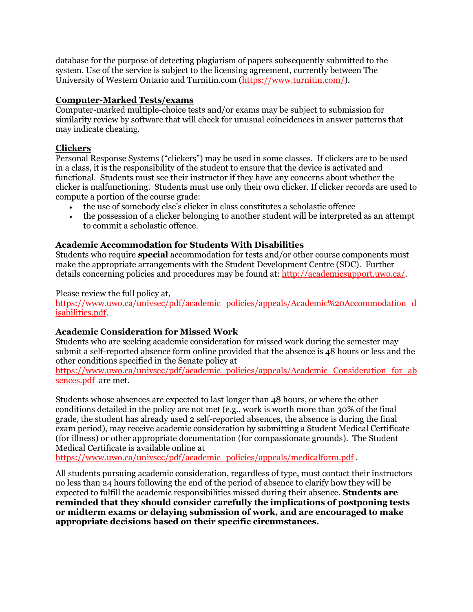database for the purpose of detecting plagiarism of papers subsequently submitted to the system. Use of the service is subject to the licensing agreement, currently between The University of Western Ontario and Turnitin.com (https://www.turnitin.com/).

### **Computer-Marked Tests/exams**

Computer-marked multiple-choice tests and/or exams may be subject to submission for similarity review by software that will check for unusual coincidences in answer patterns that may indicate cheating.

### **Clickers**

Personal Response Systems ("clickers") may be used in some classes. If clickers are to be used in a class, it is the responsibility of the student to ensure that the device is activated and functional. Students must see their instructor if they have any concerns about whether the clicker is malfunctioning. Students must use only their own clicker. If clicker records are used to compute a portion of the course grade:

- the use of somebody else's clicker in class constitutes a scholastic offence
- the possession of a clicker belonging to another student will be interpreted as an attempt to commit a scholastic offence.

#### **Academic Accommodation for Students With Disabilities**

Students who require **special** accommodation for tests and/or other course components must make the appropriate arrangements with the Student Development Centre (SDC). Further details concerning policies and procedures may be found at: http://academicsupport.uwo.ca/.

#### Please review the full policy at,

https://www.uwo.ca/univsec/pdf/academic\_policies/appeals/Academic%20Accommodation\_d isabilities.pdf.

#### **Academic Consideration for Missed Work**

Students who are seeking academic consideration for missed work during the semester may submit a self-reported absence form online provided that the absence is 48 hours or less and the other conditions specified in the Senate policy at

https://www.uwo.ca/univsec/pdf/academic\_policies/appeals/Academic\_Consideration\_for\_ab sences.pdf are met.

Students whose absences are expected to last longer than 48 hours, or where the other conditions detailed in the policy are not met (e.g., work is worth more than 30% of the final grade, the student has already used 2 self-reported absences, the absence is during the final exam period), may receive academic consideration by submitting a Student Medical Certificate (for illness) or other appropriate documentation (for compassionate grounds). The Student Medical Certificate is available online at

https://www.uwo.ca/univsec/pdf/academic\_policies/appeals/medicalform.pdf.

All students pursuing academic consideration, regardless of type, must contact their instructors no less than 24 hours following the end of the period of absence to clarify how they will be expected to fulfill the academic responsibilities missed during their absence. **Students are reminded that they should consider carefully the implications of postponing tests or midterm exams or delaying submission of work, and are encouraged to make appropriate decisions based on their specific circumstances.**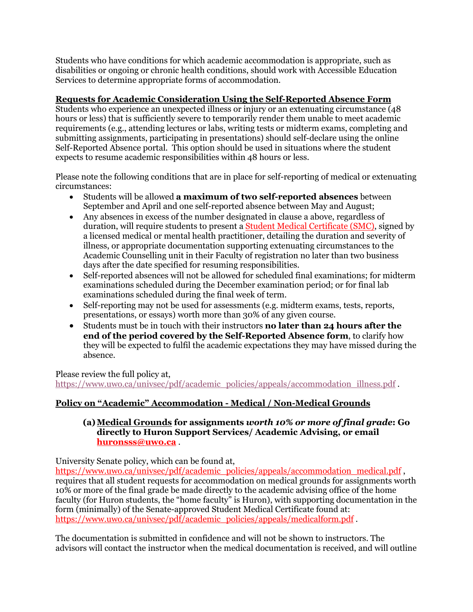Students who have conditions for which academic accommodation is appropriate, such as disabilities or ongoing or chronic health conditions, should work with Accessible Education Services to determine appropriate forms of accommodation.

# **Requests for Academic Consideration Using the Self-Reported Absence Form**

Students who experience an unexpected illness or injury or an extenuating circumstance (48 hours or less) that is sufficiently severe to temporarily render them unable to meet academic requirements (e.g., attending lectures or labs, writing tests or midterm exams, completing and submitting assignments, participating in presentations) should self-declare using the online Self-Reported Absence portal. This option should be used in situations where the student expects to resume academic responsibilities within 48 hours or less.

Please note the following conditions that are in place for self-reporting of medical or extenuating circumstances:

- Students will be allowed **a maximum of two self-reported absences** between September and April and one self-reported absence between May and August;
- Any absences in excess of the number designated in clause a above, regardless of duration, will require students to present a Student Medical Certificate (SMC), signed by a licensed medical or mental health practitioner, detailing the duration and severity of illness, or appropriate documentation supporting extenuating circumstances to the Academic Counselling unit in their Faculty of registration no later than two business days after the date specified for resuming responsibilities.
- Self-reported absences will not be allowed for scheduled final examinations; for midterm examinations scheduled during the December examination period; or for final lab examinations scheduled during the final week of term.
- Self-reporting may not be used for assessments (e.g. midterm exams, tests, reports, presentations, or essays) worth more than 30% of any given course.
- Students must be in touch with their instructors **no later than 24 hours after the end of the period covered by the Self-Reported Absence form**, to clarify how they will be expected to fulfil the academic expectations they may have missed during the absence.

Please review the full policy at,

https://www.uwo.ca/univsec/pdf/academic\_policies/appeals/accommodation\_illness.pdf .

# **Policy on "Academic" Accommodation - Medical / Non-Medical Grounds**

#### **(a)Medical Grounds for assignments** *worth 10% or more of final grade***: Go directly to Huron Support Services/ Academic Advising, or email huronsss@uwo.ca** .

University Senate policy, which can be found at,

https://www.uwo.ca/univsec/pdf/academic\_policies/appeals/accommodation\_medical.pdf, requires that all student requests for accommodation on medical grounds for assignments worth 10% or more of the final grade be made directly to the academic advising office of the home faculty (for Huron students, the "home faculty" is Huron), with supporting documentation in the form (minimally) of the Senate-approved Student Medical Certificate found at: https://www.uwo.ca/univsec/pdf/academic\_policies/appeals/medicalform.pdf.

The documentation is submitted in confidence and will not be shown to instructors. The advisors will contact the instructor when the medical documentation is received, and will outline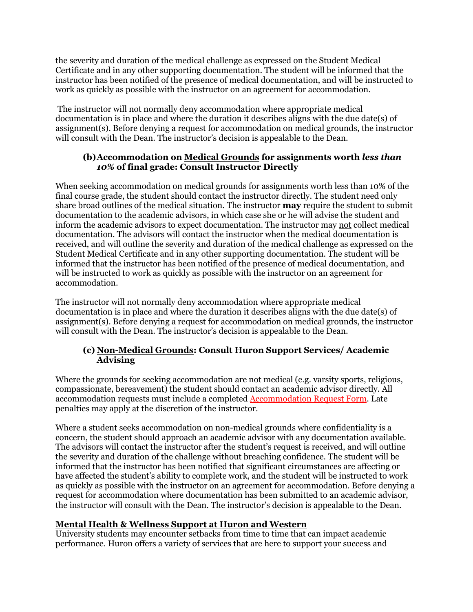the severity and duration of the medical challenge as expressed on the Student Medical Certificate and in any other supporting documentation. The student will be informed that the instructor has been notified of the presence of medical documentation, and will be instructed to work as quickly as possible with the instructor on an agreement for accommodation.

The instructor will not normally deny accommodation where appropriate medical documentation is in place and where the duration it describes aligns with the due date(s) of assignment(s). Before denying a request for accommodation on medical grounds, the instructor will consult with the Dean. The instructor's decision is appealable to the Dean.

### **(b)Accommodation on Medical Grounds for assignments worth** *less than 10%* **of final grade: Consult Instructor Directly**

When seeking accommodation on medical grounds for assignments worth less than 10% of the final course grade, the student should contact the instructor directly. The student need only share broad outlines of the medical situation. The instructor **may** require the student to submit documentation to the academic advisors, in which case she or he will advise the student and inform the academic advisors to expect documentation. The instructor may not collect medical documentation. The advisors will contact the instructor when the medical documentation is received, and will outline the severity and duration of the medical challenge as expressed on the Student Medical Certificate and in any other supporting documentation. The student will be informed that the instructor has been notified of the presence of medical documentation, and will be instructed to work as quickly as possible with the instructor on an agreement for accommodation.

The instructor will not normally deny accommodation where appropriate medical documentation is in place and where the duration it describes aligns with the due date(s) of assignment(s). Before denying a request for accommodation on medical grounds, the instructor will consult with the Dean. The instructor's decision is appealable to the Dean.

# **(c) Non-Medical Grounds: Consult Huron Support Services/ Academic Advising**

Where the grounds for seeking accommodation are not medical (e.g. varsity sports, religious, compassionate, bereavement) the student should contact an academic advisor directly. All accommodation requests must include a completed Accommodation Request Form. Late penalties may apply at the discretion of the instructor.

Where a student seeks accommodation on non-medical grounds where confidentiality is a concern, the student should approach an academic advisor with any documentation available. The advisors will contact the instructor after the student's request is received, and will outline the severity and duration of the challenge without breaching confidence. The student will be informed that the instructor has been notified that significant circumstances are affecting or have affected the student's ability to complete work, and the student will be instructed to work as quickly as possible with the instructor on an agreement for accommodation. Before denying a request for accommodation where documentation has been submitted to an academic advisor, the instructor will consult with the Dean. The instructor's decision is appealable to the Dean.

# **Mental Health & Wellness Support at Huron and Western**

University students may encounter setbacks from time to time that can impact academic performance. Huron offers a variety of services that are here to support your success and